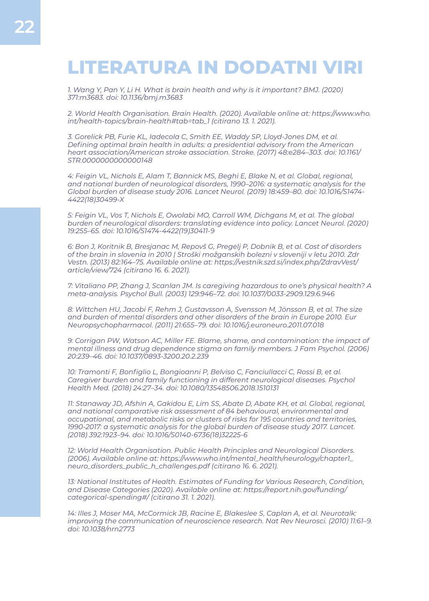## **LITERATURA IN DODATNI VIRI**

*1. Wang Y, Pan Y, Li H. What is brain health and why is it important? BMJ. (2020) 371:m3683. doi: 10.1136/bmj.m3683*

*2. World Health Organisation. Brain Health. (2020). Available online at: https://www.who. int/health-topics/brain-health#tab=tab\_1 (citirano 13. 1. 2021).*

*3. Gorelick PB, Furie KL, Iadecola C, Smith EE, Waddy SP, Lloyd-Jones DM, et al. Defining optimal brain health in adults: a presidential advisory from the American heart association/American stroke association. Stroke. (2017) 48:e284–303. doi: 10.1161/ STR.0000000000000148*

*4: Feigin VL, Nichols E, Alam T, Bannick MS, Beghi E, Blake N, et al. Global, regional, and national burden of neurological disorders, 1990–2016: a systematic analysis for the Global burden of disease study 2016. Lancet Neurol. (2019) 18:459–80. doi: 10.1016/S1474- 4422(18)30499-X*

*5: Feigin VL, Vos T, Nichols E, Owolabi MO, Carroll WM, Dichgans M, et al. The global burden of neurological disorders: translating evidence into policy. Lancet Neurol. (2020) 19:255–65. doi: 10.1016/S1474-4422(19)30411-9*

*6: Bon J, Koritnik B, Bresjanac M, Repovš G, Pregelj P, Dobnik B, et al. Cost of disorders of the brain in slovenia in 2010 | Stroški možganskih bolezni v sloveniji v letu 2010. Zdr Vestn. (2013) 82:164–75. Available online at: https://vestnik.szd.si/index.php/ZdravVest/ article/view/724 (citirano 16. 6. 2021).*

*7: Vitaliano PP, Zhang J, Scanlan JM. Is caregiving hazardous to one's physical health? A meta-analysis. Psychol Bull. (2003) 129:946–72. doi: 10.1037/0033-2909.129.6.946*

*8: Wittchen HU, Jacobi F, Rehm J, Gustavsson A, Svensson M, Jönsson B, et al. The size and burden of mental disorders and other disorders of the brain in Europe 2010. Eur Neuropsychopharmacol. (2011) 21:655–79. doi: 10.1016/j.euroneuro.2011.07.018*

*9: Corrigan PW, Watson AC, Miller FE. Blame, shame, and contamination: the impact of mental illness and drug dependence stigma on family members. J Fam Psychol. (2006) 20:239–46. doi: 10.1037/0893-3200.20.2.239*

*10: Tramonti F, Bonfiglio L, Bongioanni P, Belviso C, Fanciullacci C, Rossi B, et al. Caregiver burden and family functioning in different neurological diseases. Psychol Health Med. (2018) 24:27–34. doi: 10.1080/13548506.2018.1510131*

11: Stanaway JD, Afshin A, Gakidou E, Lim SS, Abate D, Abate KH, et al. Global, regional, *and national comparative risk assessment of 84 behavioural, environmental and occupational, and metabolic risks or clusters of risks for 195 countries and territories, 1990-2017: a systematic analysis for the global burden of disease study 2017. Lancet. (2018) 392:1923–94. doi: 10.1016/S0140-6736(18)32225-6*

*12: World Health Organisation. Public Health Principles and Neurological Disorders. (2006). Available online at: https://www.who.int/mental\_health/neurology/chapter1\_ neuro\_disorders\_public\_h\_challenges.pdf (citirano 16. 6. 2021).*

*13: National Institutes of Health. Estimates of Funding for Various Research, Condition, and Disease Categories (2020). Available online at: https://report.nih.gov/funding/ categorical-spending#/ (citirano 31. 1. 2021).*

*14: Illes J, Moser MA, McCormick JB, Racine E, Blakeslee S, Caplan A, et al. Neurotalk: improving the communication of neuroscience research. Nat Rev Neurosci. (2010) 11:61–9. doi: 10.1038/nrn2773*